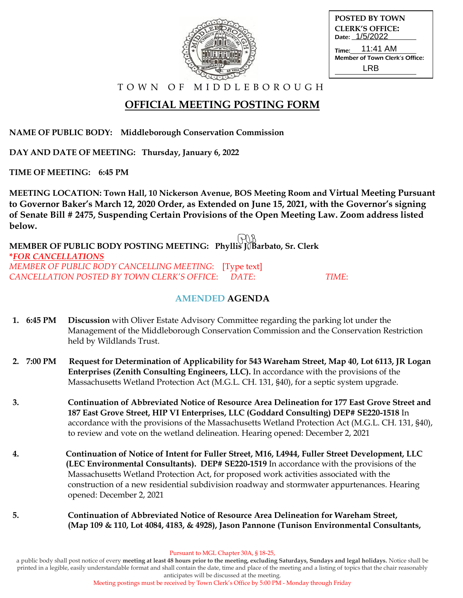| <b>POSTED BY TOWN</b>                            |
|--------------------------------------------------|
| <b>CLERK'S OFFICE:</b><br>Date: 1/5/2022         |
| Time: 11:41 AM<br>Member of Town Clerk's Office: |
| I RB                                             |
|                                                  |

T O W N O F M I D D L E B O R O U G H

# **OFFICIAL MEETING POSTING FORM**

**NAME OF PUBLIC BODY: Middleborough Conservation Commission**

**DAY AND DATE OF MEETING: Thursday, January 6, 2022**

**TIME OF MEETING: 6:45 PM**

**MEETING LOCATION: Town Hall, 10 Nickerson Avenue, BOS Meeting Room and Virtual Meeting Pursuant to Governor Baker's March 12, 2020 Order, as Extended on June 15, 2021, with the Governor's signing of Senate Bill # 2475, Suspending Certain Provisions of the Open Meeting Law. Zoom address listed below.**

**MEMBER OF PUBLIC BODY POSTING MEETING: Phyllis JOBarbato, Sr. Clerk \****FOR CANCELLATIONS MEMBER OF PUBLIC BODY CANCELLING MEETING*: [Type text] *CANCELLATION POSTED BY TOWN CLERK'S OFFICE*: *DATE*: *TIME*:

### **AMENDED AGENDA**

- **1. 6:45 PM Discussion** with Oliver Estate Advisory Committee regarding the parking lot under the Management of the Middleborough Conservation Commission and the Conservation Restriction held by Wildlands Trust.
- **2. 7:00 PM Request for Determination of Applicability for 543 Wareham Street, Map 40, Lot 6113, JR Logan Enterprises (Zenith Consulting Engineers, LLC).** In accordance with the provisions of the Massachusetts Wetland Protection Act (M.G.L. CH. 131, §40), for a septic system upgrade.
- **3. Continuation of Abbreviated Notice of Resource Area Delineation for 177 East Grove Street and 187 East Grove Street, HIP VI Enterprises, LLC (Goddard Consulting) DEP# SE220-1518** In accordance with the provisions of the Massachusetts Wetland Protection Act (M.G.L. CH. 131, §40), to review and vote on the wetland delineation. Hearing opened: December 2, 2021
- **4. Continuation of Notice of Intent for Fuller Street, M16, L4944, Fuller Street Development, LLC (LEC Environmental Consultants). DEP# SE220-1519** In accordance with the provisions of the Massachusetts Wetland Protection Act, for proposed work activities associated with the construction of a new residential subdivision roadway and stormwater appurtenances. Hearing opened: December 2, 2021
- **5. Continuation of Abbreviated Notice of Resource Area Delineation for Wareham Street, (Map 109 & 110, Lot 4084, 4183, & 4928), Jason Pannone (Tunison Environmental Consultants,**

a public body shall post notice of every **meeting at least 48 hours prior to the meeting, excluding Saturdays, Sundays and legal holidays.** Notice shall be printed in a legible, easily understandable format and shall contain the date, time and place of the meeting and a listing of topics that the chair reasonably anticipates will be discussed at the meeting.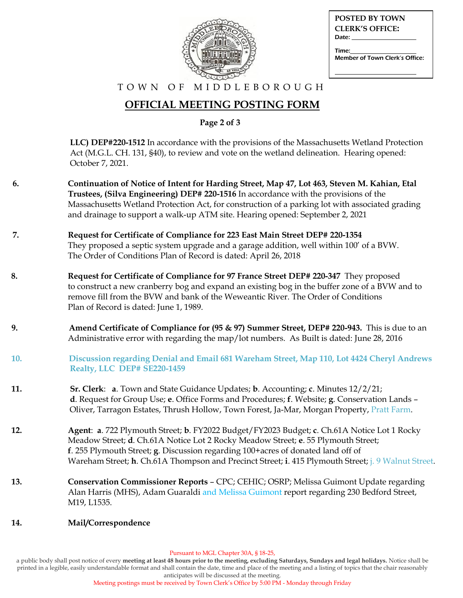| n <sub>0</sub> |
|----------------|

| POSTED BY TOWN                 |
|--------------------------------|
| <b>CLERK'S OFFICE:</b>         |
| Date:                          |
| Time:                          |
| Member of Town Clerk's Office: |
|                                |

#### T O W N O F M I D D L E B O R O U G H

## **OFFICIAL MEETING POSTING FORM**

 **Page 2 of 3**

 **LLC) DEP#220-1512** In accordance with the provisions of the Massachusetts Wetland Protection Act (M.G.L. CH. 131, §40), to review and vote on the wetland delineation. Hearing opened: October 7, 2021.

- **6. Continuation of Notice of Intent for Harding Street, Map 47, Lot 463, Steven M. Kahian, Etal Trustees, (Silva Engineering) DEP# 220-1516** In accordance with the provisions of the Massachusetts Wetland Protection Act, for construction of a parking lot with associated grading and drainage to support a walk-up ATM site. Hearing opened: September 2, 2021
- **7. Request for Certificate of Compliance for 223 East Main Street DEP# 220-1354** They proposed a septic system upgrade and a garage addition, well within 100' of a BVW. The Order of Conditions Plan of Record is dated: April 26, 2018
- **8. Request for Certificate of Compliance for 97 France Street DEP# 220-347** They proposed to construct a new cranberry bog and expand an existing bog in the buffer zone of a BVW and to remove fill from the BVW and bank of the Weweantic River. The Order of Conditions Plan of Record is dated: June 1, 1989.
- **9. Amend Certificate of Compliance for (95 & 97) Summer Street, DEP# 220-943.** This is due to an Administrative error with regarding the map/lot numbers. As Built is dated: June 28, 2016
- **10. Discussion regarding Denial and Email 681 Wareham Street, Map 110, Lot 4424 Cheryl Andrews Realty, LLC DEP# SE220-1459**
- **11. Sr. Clerk**: **a**. Town and State Guidance Updates; **b**. Accounting; **c**. Minutes 12/2/21;  **d**. Request for Group Use; **e**. Office Forms and Procedures; **f**. Website; **g**. Conservation Lands – Oliver, Tarragon Estates, Thrush Hollow, Town Forest, Ja-Mar, Morgan Property, Pratt Farm.
- **12. Agent**: **a**. 722 Plymouth Street; **b**. FY2022 Budget/FY2023 Budget; **c**. Ch.61A Notice Lot 1 Rocky Meadow Street; **d**. Ch.61A Notice Lot 2 Rocky Meadow Street; **e**. 55 Plymouth Street; **f**. 255 Plymouth Street; **g**. Discussion regarding 100+acres of donated land off of Wareham Street; **h**. Ch.61A Thompson and Precinct Street; **i**. 415 Plymouth Street; j. 9 Walnut Street.
- **13. Conservation Commissioner Reports** CPC; CEHIC; OSRP; Melissa Guimont Update regarding Alan Harris (MHS), Adam Guaraldi and Melissa Guimont report regarding 230 Bedford Street, M19, L1535.

#### **14. Mail/Correspondence**

a public body shall post notice of every **meeting at least 48 hours prior to the meeting, excluding Saturdays, Sundays and legal holidays.** Notice shall be printed in a legible, easily understandable format and shall contain the date, time and place of the meeting and a listing of topics that the chair reasonably anticipates will be discussed at the meeting.